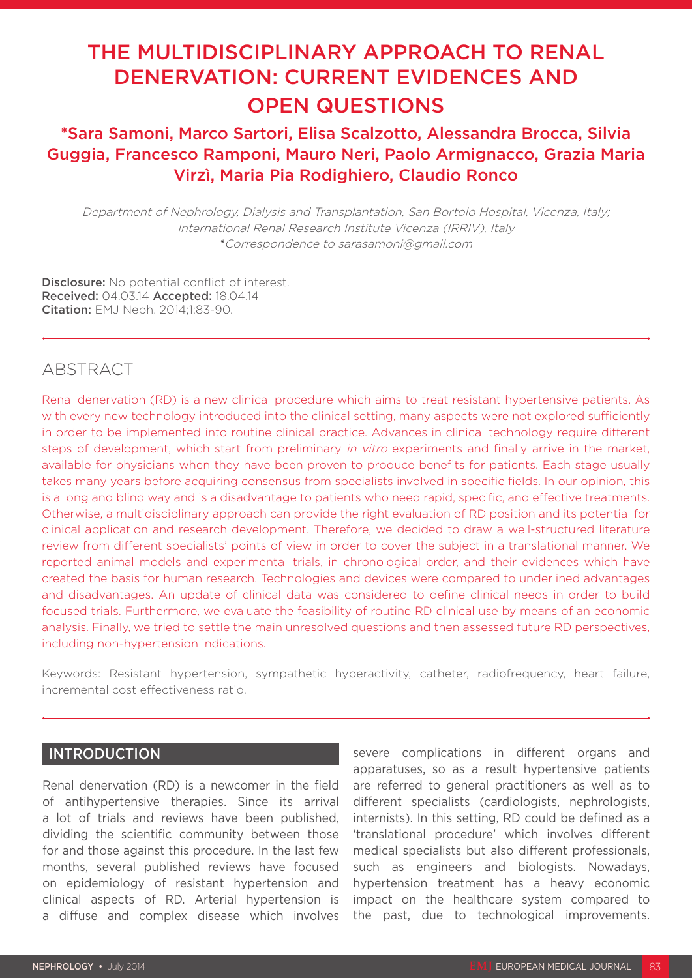# THE MULTIDISCIPLINARY APPROACH TO RENAL DENERVATION: CURRENT EVIDENCES AND OPEN QUESTIONS

## \*Sara Samoni, Marco Sartori, Elisa Scalzotto, Alessandra Brocca, Silvia Guggia, Francesco Ramponi, Mauro Neri, Paolo Armignacco, Grazia Maria Virzì, Maria Pia Rodighiero, Claudio Ronco

Department of Nephrology, Dialysis and Transplantation, San Bortolo Hospital, Vicenza, Italy; International Renal Research Institute Vicenza (IRRIV), Italy *\**Correspondence to sarasamoni@gmail.com

Disclosure: No potential conflict of interest. Received: 04.03.14 Accepted: 18.04.14 Citation: EMJ Neph. 2014;1:83-90.

### ABSTRACT

Renal denervation (RD) is a new clinical procedure which aims to treat resistant hypertensive patients. As with every new technology introduced into the clinical setting, many aspects were not explored sufficiently in order to be implemented into routine clinical practice. Advances in clinical technology require different steps of development, which start from preliminary in vitro experiments and finally arrive in the market, available for physicians when they have been proven to produce benefits for patients. Each stage usually takes many years before acquiring consensus from specialists involved in specific fields. In our opinion, this is a long and blind way and is a disadvantage to patients who need rapid, specific, and effective treatments. Otherwise, a multidisciplinary approach can provide the right evaluation of RD position and its potential for clinical application and research development. Therefore, we decided to draw a well-structured literature review from different specialists' points of view in order to cover the subject in a translational manner. We reported animal models and experimental trials, in chronological order, and their evidences which have created the basis for human research. Technologies and devices were compared to underlined advantages and disadvantages. An update of clinical data was considered to define clinical needs in order to build focused trials. Furthermore, we evaluate the feasibility of routine RD clinical use by means of an economic analysis. Finally, we tried to settle the main unresolved questions and then assessed future RD perspectives, including non-hypertension indications.

Keywords: Resistant hypertension, sympathetic hyperactivity, catheter, radiofrequency, heart failure, incremental cost effectiveness ratio.

#### **INTRODUCTION**

Renal denervation (RD) is a newcomer in the field of antihypertensive therapies. Since its arrival a lot of trials and reviews have been published, dividing the scientific community between those for and those against this procedure. In the last few months, several published reviews have focused on epidemiology of resistant hypertension and clinical aspects of RD. Arterial hypertension is a diffuse and complex disease which involves

severe complications in different organs and apparatuses, so as a result hypertensive patients are referred to general practitioners as well as to different specialists (cardiologists, nephrologists, internists). In this setting, RD could be defined as a 'translational procedure' which involves different medical specialists but also different professionals, such as engineers and biologists. Nowadays, hypertension treatment has a heavy economic impact on the healthcare system compared to the past, due to technological improvements.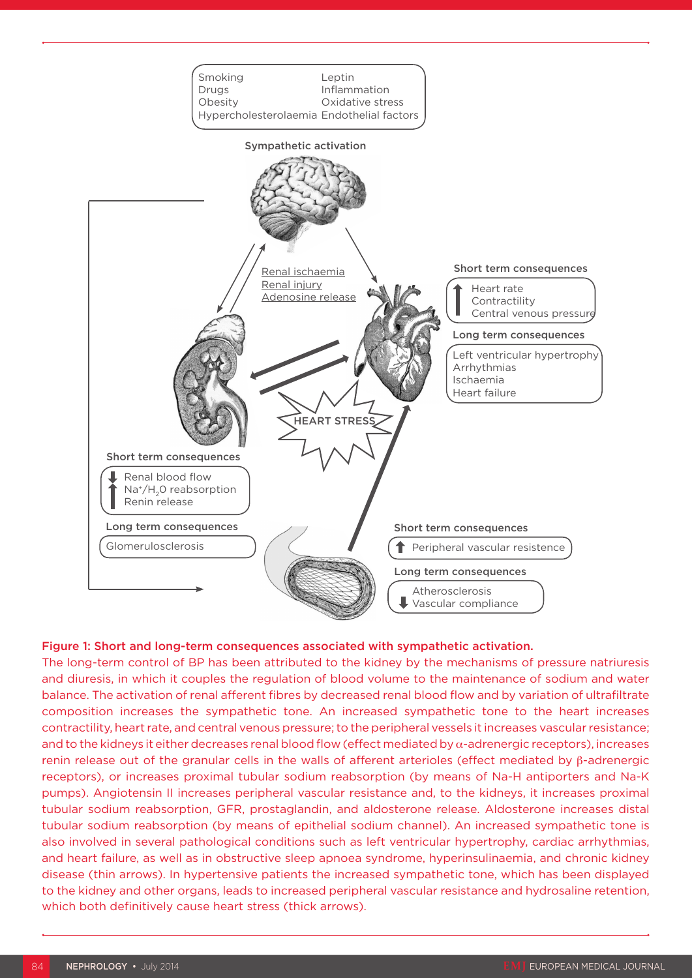

#### Figure 1: Short and long-term consequences associated with sympathetic activation.

The long-term control of BP has been attributed to the kidney by the mechanisms of pressure natriuresis and diuresis, in which it couples the regulation of blood volume to the maintenance of sodium and water balance. The activation of renal afferent fibres by decreased renal blood flow and by variation of ultrafiltrate composition increases the sympathetic tone. An increased sympathetic tone to the heart increases contractility, heart rate, and central venous pressure; to the peripheral vessels it increases vascular resistance; and to the kidneys it either decreases renal blood flow (effect mediated by α-adrenergic receptors), increases renin release out of the granular cells in the walls of afferent arterioles (effect mediated by β-adrenergic receptors), or increases proximal tubular sodium reabsorption (by means of Na-H antiporters and Na-K pumps). Angiotensin II increases peripheral vascular resistance and, to the kidneys, it increases proximal tubular sodium reabsorption, GFR, prostaglandin, and aldosterone release. Aldosterone increases distal tubular sodium reabsorption (by means of epithelial sodium channel). An increased sympathetic tone is also involved in several pathological conditions such as left ventricular hypertrophy, cardiac arrhythmias, and heart failure, as well as in obstructive sleep apnoea syndrome, hyperinsulinaemia, and chronic kidney disease (thin arrows). In hypertensive patients the increased sympathetic tone, which has been displayed to the kidney and other organs, leads to increased peripheral vascular resistance and hydrosaline retention, which both definitively cause heart stress (thick arrows).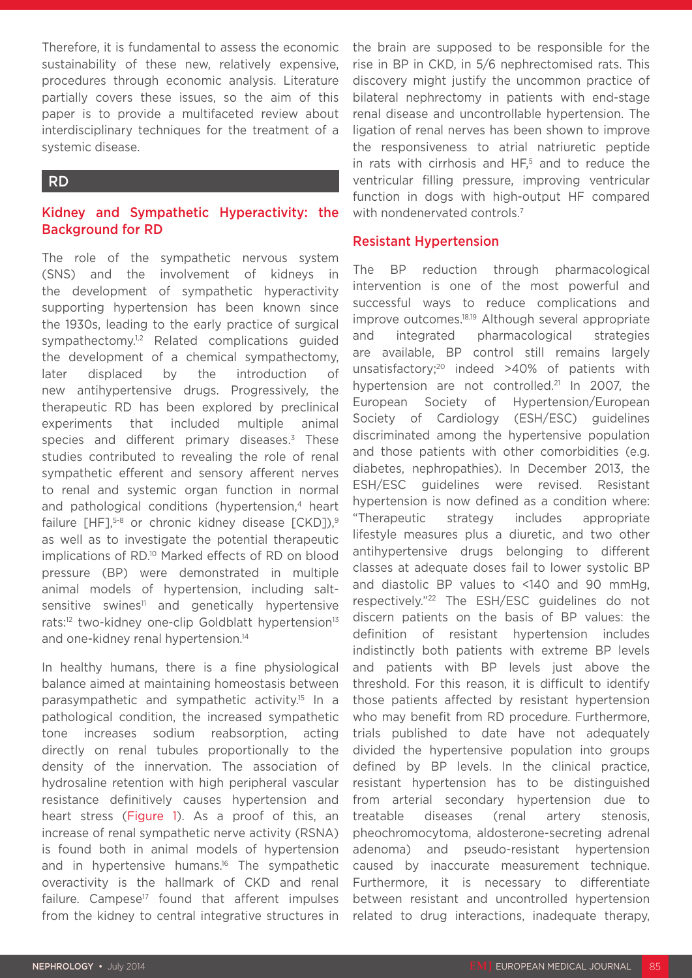Therefore, it is fundamental to assess the economic sustainability of these new, relatively expensive, procedures through economic analysis. Literature partially covers these issues, so the aim of this paper is to provide a multifaceted review about interdisciplinary techniques for the treatment of a systemic disease.

### RD

#### Kidney and Sympathetic Hyperactivity: the Background for RD

The role of the sympathetic nervous system (SNS) and the involvement of kidneys in the development of sympathetic hyperactivity supporting hypertension has been known since the 1930s, leading to the early practice of surgical sympathectomy.<sup>1,2</sup> Related complications guided the development of a chemical sympathectomy, later displaced by the introduction of new antihypertensive drugs. Progressively, the therapeutic RD has been explored by preclinical experiments that included multiple animal species and different primary diseases.<sup>3</sup> These studies contributed to revealing the role of renal sympathetic efferent and sensory afferent nerves to renal and systemic organ function in normal and pathological conditions (hypertension,<sup>4</sup> heart failure  $[HF]$ ,<sup>5-8</sup> or chronic kidney disease  $[CKD]$ ,<sup>9</sup> as well as to investigate the potential therapeutic implications of RD.<sup>10</sup> Marked effects of RD on blood pressure (BP) were demonstrated in multiple animal models of hypertension, including saltsensitive swines<sup>11</sup> and genetically hypertensive rats:<sup>12</sup> two-kidney one-clip Goldblatt hypertension<sup>13</sup> and one-kidney renal hypertension.<sup>14</sup>

In healthy humans, there is a fine physiological balance aimed at maintaining homeostasis between parasympathetic and sympathetic activity.15 In a pathological condition, the increased sympathetic tone increases sodium reabsorption, acting directly on renal tubules proportionally to the density of the innervation. The association of hydrosaline retention with high peripheral vascular resistance definitively causes hypertension and heart stress (Figure 1). As a proof of this, an increase of renal sympathetic nerve activity (RSNA) is found both in animal models of hypertension and in hypertensive humans.<sup>16</sup> The sympathetic overactivity is the hallmark of CKD and renal failure. Campese<sup>17</sup> found that afferent impulses from the kidney to central integrative structures in

the brain are supposed to be responsible for the rise in BP in CKD, in 5/6 nephrectomised rats. This discovery might justify the uncommon practice of bilateral nephrectomy in patients with end-stage renal disease and uncontrollable hypertension. The ligation of renal nerves has been shown to improve the responsiveness to atrial natriuretic peptide in rats with cirrhosis and HF,<sup>5</sup> and to reduce the ventricular filling pressure, improving ventricular function in dogs with high-output HF compared with nondenervated controls.<sup>7</sup>

#### Resistant Hypertension

The BP reduction through pharmacological intervention is one of the most powerful and successful ways to reduce complications and improve outcomes.18,19 Although several appropriate and integrated pharmacological strategies are available, BP control still remains largely unsatisfactory;20 indeed >40% of patients with hypertension are not controlled.<sup>21</sup> In 2007, the European Society of Hypertension/European Society of Cardiology (ESH/ESC) guidelines discriminated among the hypertensive population and those patients with other comorbidities (e.g. diabetes, nephropathies). In December 2013, the ESH/ESC guidelines were revised. Resistant hypertension is now defined as a condition where: "Therapeutic strategy includes appropriate lifestyle measures plus a diuretic, and two other antihypertensive drugs belonging to different classes at adequate doses fail to lower systolic BP and diastolic BP values to <140 and 90 mmHg, respectively."22 The ESH/ESC guidelines do not discern patients on the basis of BP values: the definition of resistant hypertension includes indistinctly both patients with extreme BP levels and patients with BP levels just above the threshold. For this reason, it is difficult to identify those patients affected by resistant hypertension who may benefit from RD procedure. Furthermore, trials published to date have not adequately divided the hypertensive population into groups defined by BP levels. In the clinical practice, resistant hypertension has to be distinguished from arterial secondary hypertension due to treatable diseases (renal artery stenosis, pheochromocytoma, aldosterone-secreting adrenal adenoma) and pseudo-resistant hypertension caused by inaccurate measurement technique. Furthermore, it is necessary to differentiate between resistant and uncontrolled hypertension related to drug interactions, inadequate therapy,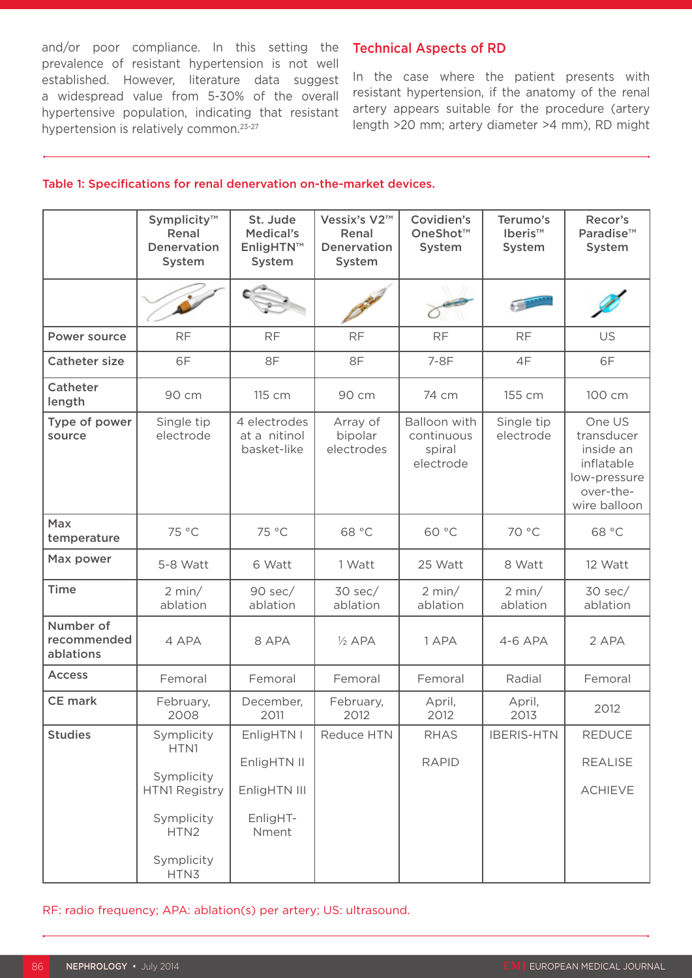and/or poor compliance. In this setting the prevalence of resistant hypertension is not well established. However, literature data suggest a widespread value from 5-30% of the overall hypertensive population, indicating that resistant hypertension is relatively common.<sup>23-27</sup>

#### Technical Aspects of RD

In the case where the patient presents with resistant hypertension, if the anatomy of the renal artery appears suitable for the procedure (artery length >20 mm; artery diameter >4 mm), RD might

#### Table 1: Specifications for renal denervation on-the-market devices.

|                                       | Symplicity™<br>Renal<br>Denervation<br>System | St. Jude<br>Medical's<br>EnligHTN™<br>System | Vessix's V2™<br>Renal<br>Denervation<br>System | Covidien's<br>OneShot™<br>System                  | Terumo's<br>Iberis™<br>System | Recor's<br>Paradise™<br>System                                                               |
|---------------------------------------|-----------------------------------------------|----------------------------------------------|------------------------------------------------|---------------------------------------------------|-------------------------------|----------------------------------------------------------------------------------------------|
|                                       |                                               |                                              |                                                |                                                   |                               |                                                                                              |
| Power source                          | <b>RF</b>                                     | <b>RF</b>                                    | <b>RF</b>                                      | <b>RF</b>                                         | <b>RF</b>                     | US                                                                                           |
| <b>Catheter size</b>                  | 6F                                            | 8F                                           | 8F                                             | 7-8F                                              | 4F                            | 6F                                                                                           |
| Catheter<br>length                    | 90 cm                                         | 115 cm                                       | 90 cm                                          | 74 cm                                             | 155 cm                        | 100 cm                                                                                       |
| Type of power<br>source               | Single tip<br>electrode                       | 4 electrodes<br>at a nitinol<br>basket-like  | Array of<br>bipolar<br>electrodes              | Balloon with<br>continuous<br>spiral<br>electrode | Single tip<br>electrode       | One US<br>transducer<br>inside an<br>inflatable<br>low-pressure<br>over-the-<br>wire balloon |
| <b>Max</b><br>temperature             | 75 °C                                         | 75 °C                                        | 68 °C                                          | 60 °C                                             | 70 °C                         | 68 °C                                                                                        |
| Max power                             | 5-8 Watt                                      | 6 Watt                                       | 1 Watt                                         | 25 Watt                                           | 8 Watt                        | 12 Watt                                                                                      |
| <b>Time</b>                           | 2 min/<br>ablation                            | $90$ sec/<br>ablation                        | $30$ sec/<br>ablation                          | 2 min/<br>ablation                                | 2 min/<br>ablation            | $30$ sec/<br>ablation                                                                        |
| Number of<br>recommended<br>ablations | 4 APA                                         | 8 APA                                        | $\frac{1}{2}$ APA                              | 1 APA                                             | $4-6$ APA                     | 2 APA                                                                                        |
| <b>Access</b>                         | Femoral                                       | Femoral                                      | Femoral                                        | Femoral                                           | Radial                        | Femoral                                                                                      |
| <b>CE</b> mark                        | February,<br>2008                             | December,<br>2011                            | February,<br>2012                              | April,<br>2012                                    | April,<br>2013                | 2012                                                                                         |
| <b>Studies</b>                        | Symplicity<br>HTN1                            | EnligHTN I<br>EnligHTN II                    | Reduce HTN                                     | <b>RHAS</b><br><b>RAPID</b>                       | <b>IBERIS-HTN</b>             | <b>REDUCE</b><br><b>REALISE</b>                                                              |
|                                       | Symplicity<br>HTN1 Registry                   | EnligHTN III                                 |                                                |                                                   |                               | <b>ACHIEVE</b>                                                                               |
|                                       | Symplicity<br>HTN2                            | EnligHT-<br>Nment                            |                                                |                                                   |                               |                                                                                              |
|                                       | Symplicity<br>HTN3                            |                                              |                                                |                                                   |                               |                                                                                              |

RF: radio frequency; APA: ablation(s) per artery; US: ultrasound.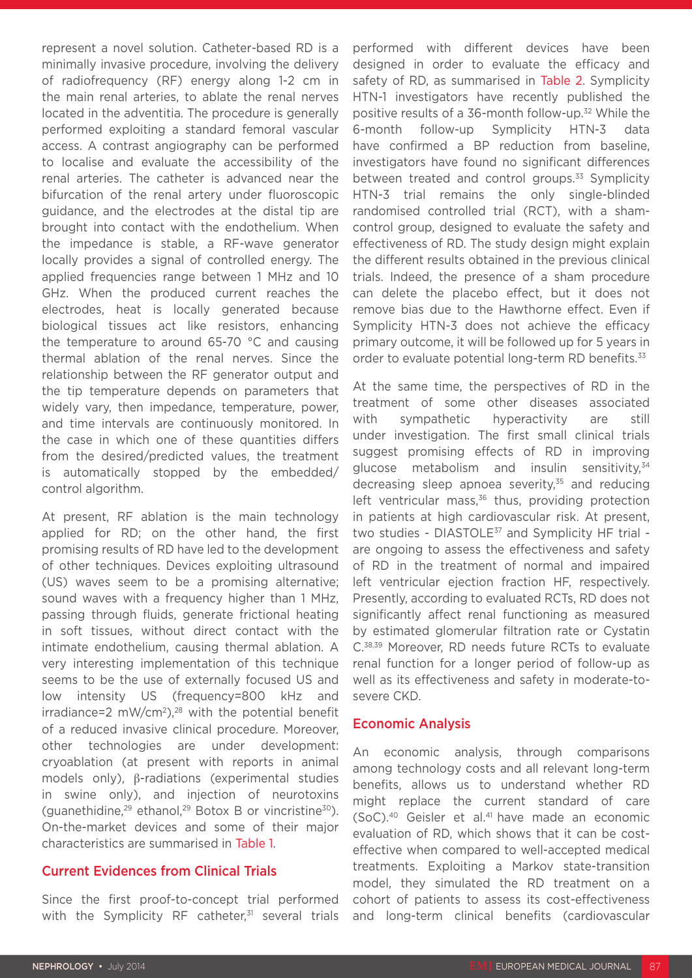represent a novel solution. Catheter-based RD is a minimally invasive procedure, involving the delivery of radiofrequency (RF) energy along 1-2 cm in the main renal arteries, to ablate the renal nerves located in the adventitia. The procedure is generally performed exploiting a standard femoral vascular access. A contrast angiography can be performed to localise and evaluate the accessibility of the renal arteries. The catheter is advanced near the bifurcation of the renal artery under fluoroscopic guidance, and the electrodes at the distal tip are brought into contact with the endothelium. When the impedance is stable, a RF-wave generator locally provides a signal of controlled energy. The applied frequencies range between 1 MHz and 10 GHz. When the produced current reaches the electrodes, heat is locally generated because biological tissues act like resistors, enhancing the temperature to around 65-70 °C and causing thermal ablation of the renal nerves. Since the relationship between the RF generator output and the tip temperature depends on parameters that widely vary, then impedance, temperature, power, and time intervals are continuously monitored. In the case in which one of these quantities differs from the desired/predicted values, the treatment is automatically stopped by the embedded/ control algorithm.

At present, RF ablation is the main technology applied for RD; on the other hand, the first promising results of RD have led to the development of other techniques. Devices exploiting ultrasound (US) waves seem to be a promising alternative; sound waves with a frequency higher than 1 MHz, passing through fluids, generate frictional heating in soft tissues, without direct contact with the intimate endothelium, causing thermal ablation. A very interesting implementation of this technique seems to be the use of externally focused US and low intensity US (frequency=800 kHz and  $irradiance=2$  mW/cm<sup>2</sup>),<sup>28</sup> with the potential benefit of a reduced invasive clinical procedure. Moreover, other technologies are under development: cryoablation (at present with reports in animal models only), β-radiations (experimental studies in swine only), and injection of neurotoxins (guanethidine, $29$  ethanol, $29$  Botox B or vincristine $30$ ). On-the-market devices and some of their major characteristics are summarised in Table 1.

#### Current Evidences from Clinical Trials

Since the first proof-to-concept trial performed with the Symplicity RF catheter, $31$  several trials performed with different devices have been designed in order to evaluate the efficacy and safety of RD, as summarised in Table 2. Symplicity HTN-1 investigators have recently published the positive results of a 36-month follow-up.32 While the 6-month follow-up Symplicity HTN-3 data have confirmed a BP reduction from baseline, investigators have found no significant differences between treated and control groups.<sup>33</sup> Symplicity HTN-3 trial remains the only single-blinded randomised controlled trial (RCT), with a shamcontrol group, designed to evaluate the safety and effectiveness of RD. The study design might explain the different results obtained in the previous clinical trials. Indeed, the presence of a sham procedure can delete the placebo effect, but it does not remove bias due to the Hawthorne effect. Even if Symplicity HTN-3 does not achieve the efficacy primary outcome, it will be followed up for 5 years in order to evaluate potential long-term RD benefits.<sup>33</sup>

At the same time, the perspectives of RD in the treatment of some other diseases associated with sympathetic hyperactivity are still under investigation. The first small clinical trials suggest promising effects of RD in improving glucose metabolism and insulin sensitivity, $34$ decreasing sleep apnoea severity, $35$  and reducing left ventricular mass, $36$  thus, providing protection in patients at high cardiovascular risk. At present, two studies - DIASTOLE<sup>37</sup> and Symplicity HF trial are ongoing to assess the effectiveness and safety of RD in the treatment of normal and impaired left ventricular ejection fraction HF, respectively. Presently, according to evaluated RCTs, RD does not significantly affect renal functioning as measured by estimated glomerular filtration rate or Cystatin C.38,39 Moreover, RD needs future RCTs to evaluate renal function for a longer period of follow-up as well as its effectiveness and safety in moderate-tosevere CKD.

#### Economic Analysis

An economic analysis, through comparisons among technology costs and all relevant long-term benefits, allows us to understand whether RD might replace the current standard of care (SoC).40 Geisler et al.41 have made an economic evaluation of RD, which shows that it can be costeffective when compared to well-accepted medical treatments. Exploiting a Markov state-transition model, they simulated the RD treatment on a cohort of patients to assess its cost-effectiveness and long-term clinical benefits (cardiovascular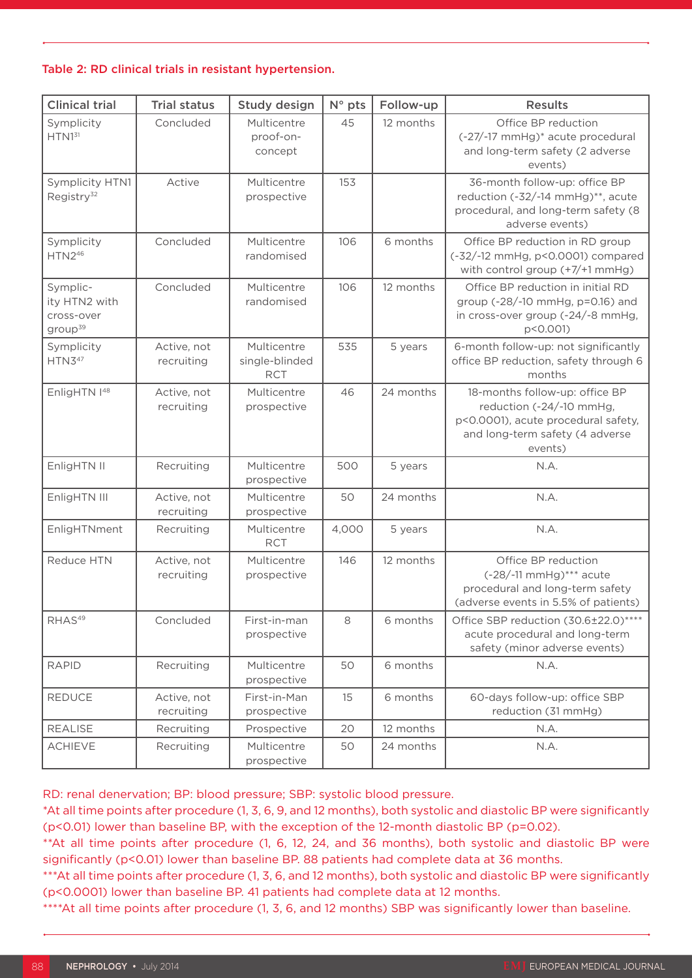#### Table 2: RD clinical trials in resistant hypertension.

| <b>Clinical trial</b>                                          | <b>Trial status</b>       | Study design                                | $N^{\circ}$ pts | Follow-up | <b>Results</b>                                                                                                                                  |
|----------------------------------------------------------------|---------------------------|---------------------------------------------|-----------------|-----------|-------------------------------------------------------------------------------------------------------------------------------------------------|
| Symplicity<br>HTN1 <sup>31</sup>                               | Concluded                 | Multicentre<br>proof-on-<br>concept         | 45              | 12 months | Office BP reduction<br>(-27/-17 mmHg)* acute procedural<br>and long-term safety (2 adverse<br>events)                                           |
| Symplicity HTN1<br>Registry <sup>32</sup>                      | Active                    | Multicentre<br>prospective                  | 153             |           | 36-month follow-up: office BP<br>reduction (-32/-14 mmHg)**, acute<br>procedural, and long-term safety (8<br>adverse events)                    |
| Symplicity<br>$HTN2^{46}$                                      | Concluded                 | Multicentre<br>randomised                   | 106             | 6 months  | Office BP reduction in RD group<br>(-32/-12 mmHg, p<0.0001) compared<br>with control group (+7/+1 mmHg)                                         |
| Symplic-<br>ity HTN2 with<br>cross-over<br>group <sup>39</sup> | Concluded                 | Multicentre<br>randomised                   | 106             | 12 months | Office BP reduction in initial RD<br>group (-28/-10 mmHg, p=0.16) and<br>in cross-over group (-24/-8 mmHg,<br>p<0.001)                          |
| Symplicity<br>$HTN3^{47}$                                      | Active, not<br>recruiting | Multicentre<br>single-blinded<br><b>RCT</b> | 535             | 5 years   | 6-month follow-up: not significantly<br>office BP reduction, safety through 6<br>months                                                         |
| EnligHTN  48                                                   | Active, not<br>recruiting | Multicentre<br>prospective                  | 46              | 24 months | 18-months follow-up: office BP<br>reduction (-24/-10 mmHg,<br>p<0.0001), acute procedural safety,<br>and long-term safety (4 adverse<br>events) |
| EnligHTN II                                                    | Recruiting                | Multicentre<br>prospective                  | 500             | 5 years   | N.A.                                                                                                                                            |
| EnligHTN III                                                   | Active, not<br>recruiting | Multicentre<br>prospective                  | 50              | 24 months | N.A.                                                                                                                                            |
| EnligHTNment                                                   | Recruiting                | Multicentre<br><b>RCT</b>                   | 4,000           | 5 years   | N.A.                                                                                                                                            |
| Reduce HTN                                                     | Active, not<br>recruiting | Multicentre<br>prospective                  | 146             | 12 months | Office BP reduction<br>$(-28/-11 \text{ mmHg})***$ acute<br>procedural and long-term safety<br>(adverse events in 5.5% of patients)             |
| RHAS <sup>49</sup>                                             | Concluded                 | First-in-man<br>prospective                 | 8               | 6 months  | Office SBP reduction (30.6±22.0)****<br>acute procedural and long-term<br>safety (minor adverse events)                                         |
| <b>RAPID</b>                                                   | Recruiting                | Multicentre<br>prospective                  | 50              | 6 months  | N.A.                                                                                                                                            |
| <b>REDUCE</b>                                                  | Active, not<br>recruiting | First-in-Man<br>prospective                 | 15              | 6 months  | 60-days follow-up: office SBP<br>reduction (31 mmHg)                                                                                            |
| <b>REALISE</b>                                                 | Recruiting                | Prospective                                 | 20              | 12 months | N.A.                                                                                                                                            |
| <b>ACHIEVE</b>                                                 | Recruiting                | Multicentre<br>prospective                  | 50              | 24 months | N.A.                                                                                                                                            |

RD: renal denervation; BP: blood pressure; SBP: systolic blood pressure.

\*At all time points after procedure (1, 3, 6, 9, and 12 months), both systolic and diastolic BP were significantly (p<0.01) lower than baseline BP, with the exception of the 12-month diastolic BP (p=0.02).

\*\*At all time points after procedure (1, 6, 12, 24, and 36 months), both systolic and diastolic BP were significantly (p<0.01) lower than baseline BP. 88 patients had complete data at 36 months.

\*\*\*At all time points after procedure (1, 3, 6, and 12 months), both systolic and diastolic BP were significantly (p<0.0001) lower than baseline BP. 41 patients had complete data at 12 months.

\*\*\*\*At all time points after procedure (1, 3, 6, and 12 months) SBP was significantly lower than baseline.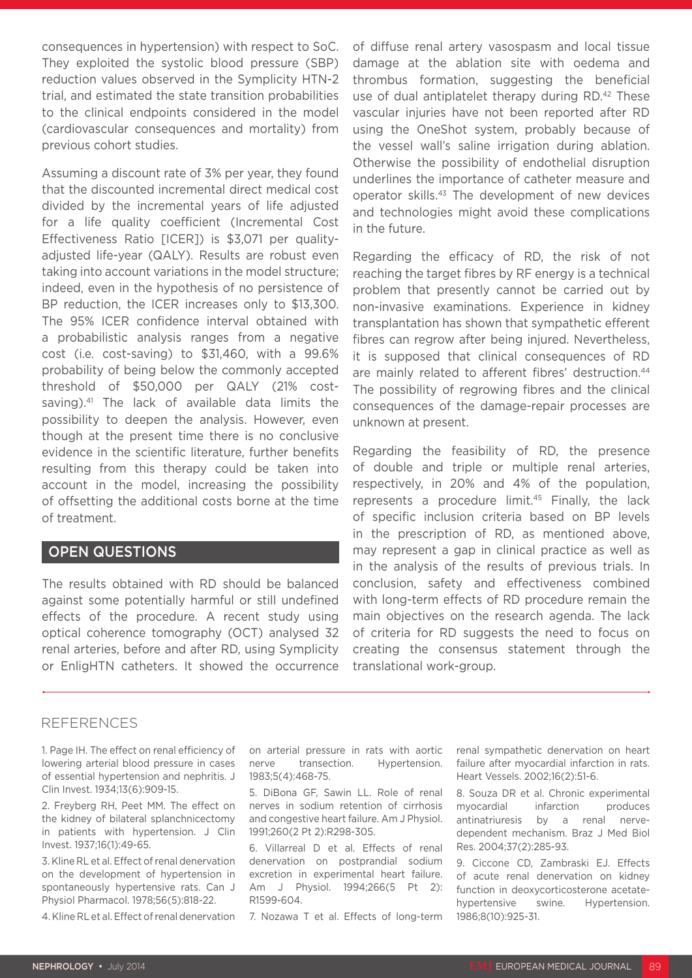consequences in hypertension) with respect to SoC. They exploited the systolic blood pressure (SBP) reduction values observed in the Symplicity HTN-2 trial, and estimated the state transition probabilities to the clinical endpoints considered in the model (cardiovascular consequences and mortality) from previous cohort studies.

Assuming a discount rate of 3% per year, they found that the discounted incremental direct medical cost divided by the incremental years of life adjusted for a life quality coefficient (Incremental Cost Effectiveness Ratio [ICER]) is \$3,071 per qualityadjusted life-year (QALY). Results are robust even taking into account variations in the model structure; indeed, even in the hypothesis of no persistence of BP reduction, the ICER increases only to \$13,300. The 95% ICER confidence interval obtained with a probabilistic analysis ranges from a negative cost (i.e. cost-saving) to \$31,460, with a 99.6% probability of being below the commonly accepted threshold of \$50,000 per QALY (21% costsaving).<sup>41</sup> The lack of available data limits the possibility to deepen the analysis. However, even though at the present time there is no conclusive evidence in the scientific literature, further benefits resulting from this therapy could be taken into account in the model, increasing the possibility of offsetting the additional costs borne at the time of treatment.

#### OPEN QUESTIONS

The results obtained with RD should be balanced against some potentially harmful or still undefined effects of the procedure. A recent study using optical coherence tomography (OCT) analysed 32 renal arteries, before and after RD, using Symplicity or EnligHTN catheters. It showed the occurrence of diffuse renal artery vasospasm and local tissue damage at the ablation site with oedema and thrombus formation, suggesting the beneficial use of dual antiplatelet therapy during RD.<sup>42</sup> These vascular injuries have not been reported after RD using the OneShot system, probably because of the vessel wall's saline irrigation during ablation. Otherwise the possibility of endothelial disruption underlines the importance of catheter measure and operator skills.43 The development of new devices and technologies might avoid these complications in the future.

Regarding the efficacy of RD, the risk of not reaching the target fibres by RF energy is a technical problem that presently cannot be carried out by non-invasive examinations. Experience in kidney transplantation has shown that sympathetic efferent fibres can regrow after being injured. Nevertheless, it is supposed that clinical consequences of RD are mainly related to afferent fibres' destruction.<sup>44</sup> The possibility of regrowing fibres and the clinical consequences of the damage-repair processes are unknown at present.

Regarding the feasibility of RD, the presence of double and triple or multiple renal arteries, respectively, in 20% and 4% of the population, represents a procedure limit.45 Finally, the lack of specific inclusion criteria based on BP levels in the prescription of RD, as mentioned above, may represent a gap in clinical practice as well as in the analysis of the results of previous trials. In conclusion, safety and effectiveness combined with long-term effects of RD procedure remain the main objectives on the research agenda. The lack of criteria for RD suggests the need to focus on creating the consensus statement through the translational work-group.

#### REFERENCES

1. Page IH. The effect on renal efficiency of lowering arterial blood pressure in cases of essential hypertension and nephritis. J Clin Invest. 1934;13(6):909-15.

2. Freyberg RH, Peet MM. The effect on the kidney of bilateral splanchnicectomy in patients with hypertension. J Clin Invest. 1937;16(1):49-65.

3. Kline RL et al. Effect of renal denervation on the development of hypertension in spontaneously hypertensive rats. Can J Physiol Pharmacol. 1978;56(5):818-22.

4. Kline RL et al. Effect of renal denervation

on arterial pressure in rats with aortic nerve transection. Hypertension. 1983;5(4):468-75.

5. DiBona GF, Sawin LL. Role of renal nerves in sodium retention of cirrhosis and congestive heart failure. Am J Physiol. 1991;260(2 Pt 2):R298-305.

6. Villarreal D et al. Effects of renal denervation on postprandial sodium excretion in experimental heart failure. Am J Physiol. 1994;266(5 Pt 2): R1599-604.

7. Nozawa T et al. Effects of long-term

renal sympathetic denervation on heart failure after myocardial infarction in rats. Heart Vessels. 2002;16(2):51-6.

8. Souza DR et al. Chronic experimental myocardial infarction produces antinatriuresis by a renal nervedependent mechanism. Braz J Med Biol Res. 2004;37(2):285-93.

9. Ciccone CD, Zambraski EJ. Effects of acute renal denervation on kidney function in deoxycorticosterone acetatehypertensive swine. Hypertension. 1986;8(10):925-31.